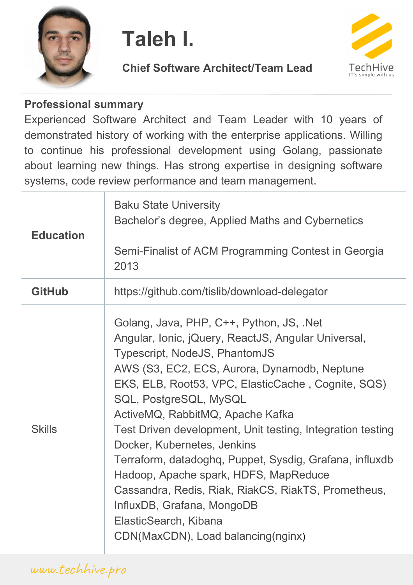

# **Taleh I.**

#### **Chief Software Architect/Team Lead**



#### **Professional summary**

Experienced Software Architect and Team Leader with 10 years of demonstrated history of working with the enterprise applications. Willing to continue his professional development using Golang, passionate about learning new things. Has strong expertise in designing software systems, code review performance and team management.

| <b>Education</b> | <b>Baku State University</b><br>Bachelor's degree, Applied Maths and Cybernetics<br>Semi-Finalist of ACM Programming Contest in Georgia<br>2013                                                                                                                                                                                                                                                                                                                                                                                                                                                                                                           |
|------------------|-----------------------------------------------------------------------------------------------------------------------------------------------------------------------------------------------------------------------------------------------------------------------------------------------------------------------------------------------------------------------------------------------------------------------------------------------------------------------------------------------------------------------------------------------------------------------------------------------------------------------------------------------------------|
| <b>GitHub</b>    | https://github.com/tislib/download-delegator                                                                                                                                                                                                                                                                                                                                                                                                                                                                                                                                                                                                              |
| <b>Skills</b>    | Golang, Java, PHP, C++, Python, JS, .Net<br>Angular, Ionic, jQuery, ReactJS, Angular Universal,<br>Typescript, NodeJS, PhantomJS<br>AWS (S3, EC2, ECS, Aurora, Dynamodb, Neptune<br>EKS, ELB, Root53, VPC, ElasticCache, Cognite, SQS)<br>SQL, PostgreSQL, MySQL<br>ActiveMQ, RabbitMQ, Apache Kafka<br>Test Driven development, Unit testing, Integration testing<br>Docker, Kubernetes, Jenkins<br>Terraform, datadoghq, Puppet, Sysdig, Grafana, influxdb<br>Hadoop, Apache spark, HDFS, MapReduce<br>Cassandra, Redis, Riak, RiakCS, RiakTS, Prometheus,<br>InfluxDB, Grafana, MongoDB<br>ElasticSearch, Kibana<br>CDN(MaxCDN), Load balancing(nginx) |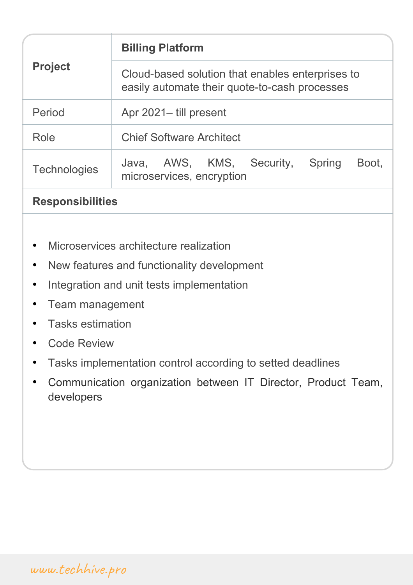| <b>Billing Platform</b>                                                                           |
|---------------------------------------------------------------------------------------------------|
| Cloud-based solution that enables enterprises to<br>easily automate their quote-to-cash processes |
| Apr 2021– till present                                                                            |
| <b>Chief Software Architect</b>                                                                   |
| AWS, KMS,<br>Security,<br>Spring<br>Boot,<br>Java,<br>microservices, encryption                   |
|                                                                                                   |

#### **Responsibilities**

- Microservices architecture realization
- New features and functionality development
- Integration and unit tests implementation
- Team management
- Tasks estimation
- **Code Review**
- Tasks implementation control according to setted deadlines
- Communication organization between IT Director, Product Team, developers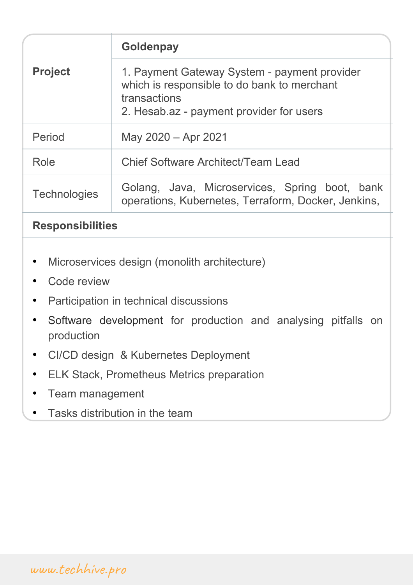|                     | <b>Goldenpay</b>                                                                                                                                        |
|---------------------|---------------------------------------------------------------------------------------------------------------------------------------------------------|
| <b>Project</b>      | 1. Payment Gateway System - payment provider<br>which is responsible to do bank to merchant<br>transactions<br>2. Hesab.az - payment provider for users |
| Period              | May 2020 - Apr 2021                                                                                                                                     |
| Role                | <b>Chief Software Architect/Team Lead</b>                                                                                                               |
| <b>Technologies</b> | Golang, Java, Microservices, Spring boot, bank<br>operations, Kubernetes, Terraform, Docker, Jenkins,                                                   |

#### **Responsibilities**

- Microservices design (monolith architecture)
- Code review
- Participation in technical discussions
- Software development for production and analysing pitfalls on production
- CI/CD design & Kubernetes Deployment
- ELK Stack, Prometheus Metrics preparation
- Team management
- Tasks distribution in the team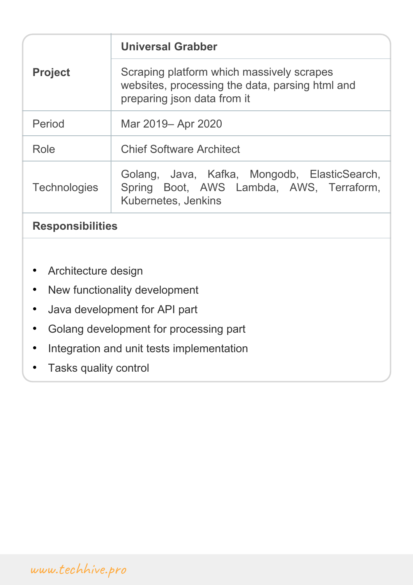| <b>Project</b>          | <b>Universal Grabber</b>                                                                                                    |
|-------------------------|-----------------------------------------------------------------------------------------------------------------------------|
|                         | Scraping platform which massively scrapes<br>websites, processing the data, parsing html and<br>preparing json data from it |
| Period                  | Mar 2019– Apr 2020                                                                                                          |
| Role                    | <b>Chief Software Architect</b>                                                                                             |
| <b>Technologies</b>     | Golang, Java, Kafka, Mongodb, ElasticSearch,<br>Spring Boot, AWS Lambda, AWS, Terraform,<br>Kubernetes, Jenkins             |
| <b>Responsibilities</b> |                                                                                                                             |
|                         |                                                                                                                             |

- Architecture design
- New functionality development
- Java development for API part
- Golang development for processing part
- Integration and unit tests implementation
- Tasks quality control

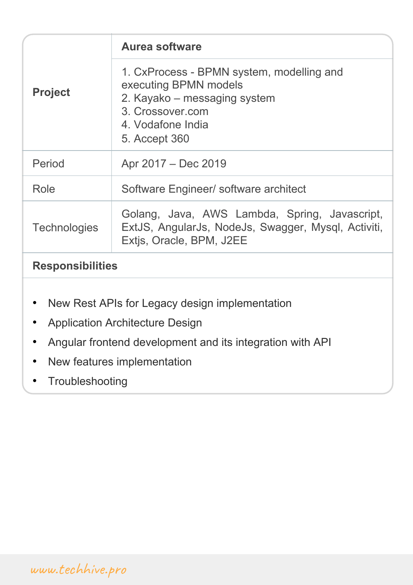| <b>Project</b>          | <b>Aurea software</b>                                                                                                                                        |
|-------------------------|--------------------------------------------------------------------------------------------------------------------------------------------------------------|
|                         | 1. CxProcess - BPMN system, modelling and<br>executing BPMN models<br>2. Kayako – messaging system<br>3. Crossover.com<br>4. Vodafone India<br>5. Accept 360 |
| Period                  | Apr 2017 – Dec 2019                                                                                                                                          |
| Role                    | Software Engineer/ software architect                                                                                                                        |
| <b>Technologies</b>     | Golang, Java, AWS Lambda, Spring, Javascript,<br>ExtJS, AngularJs, NodeJs, Swagger, Mysql, Activiti,<br>Extis, Oracle, BPM, J2EE                             |
| <b>Responsibilities</b> |                                                                                                                                                              |

- New Rest APIs for Legacy design implementation
- Application Architecture Design
- Angular frontend development and its integration with API
- New features implementation
- **Troubleshooting**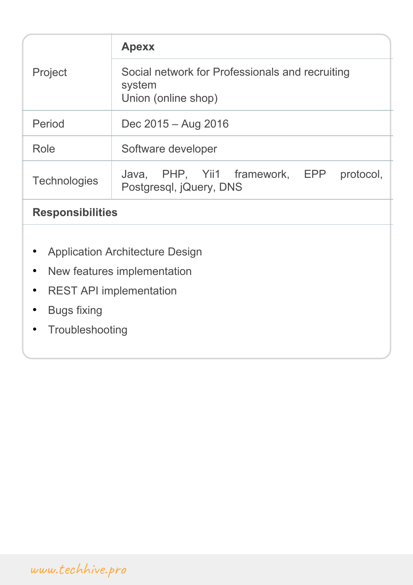|                                                                                                                                   | <b>Apexx</b>                                                                     |  |
|-----------------------------------------------------------------------------------------------------------------------------------|----------------------------------------------------------------------------------|--|
| Project                                                                                                                           | Social network for Professionals and recruiting<br>system<br>Union (online shop) |  |
| Period                                                                                                                            | Dec 2015 - Aug 2016                                                              |  |
| Role                                                                                                                              | Software developer                                                               |  |
| <b>Technologies</b>                                                                                                               | PHP, Yii1 framework,<br>EPP<br>protocol,<br>Java,<br>Postgresql, jQuery, DNS     |  |
| <b>Responsibilities</b>                                                                                                           |                                                                                  |  |
| <b>Application Architecture Design</b><br>New features implementation<br>$\bullet$<br><b>REST API implementation</b><br>$\bullet$ |                                                                                  |  |
| <b>Bugs fixing</b>                                                                                                                |                                                                                  |  |
| Troubleshooting                                                                                                                   |                                                                                  |  |